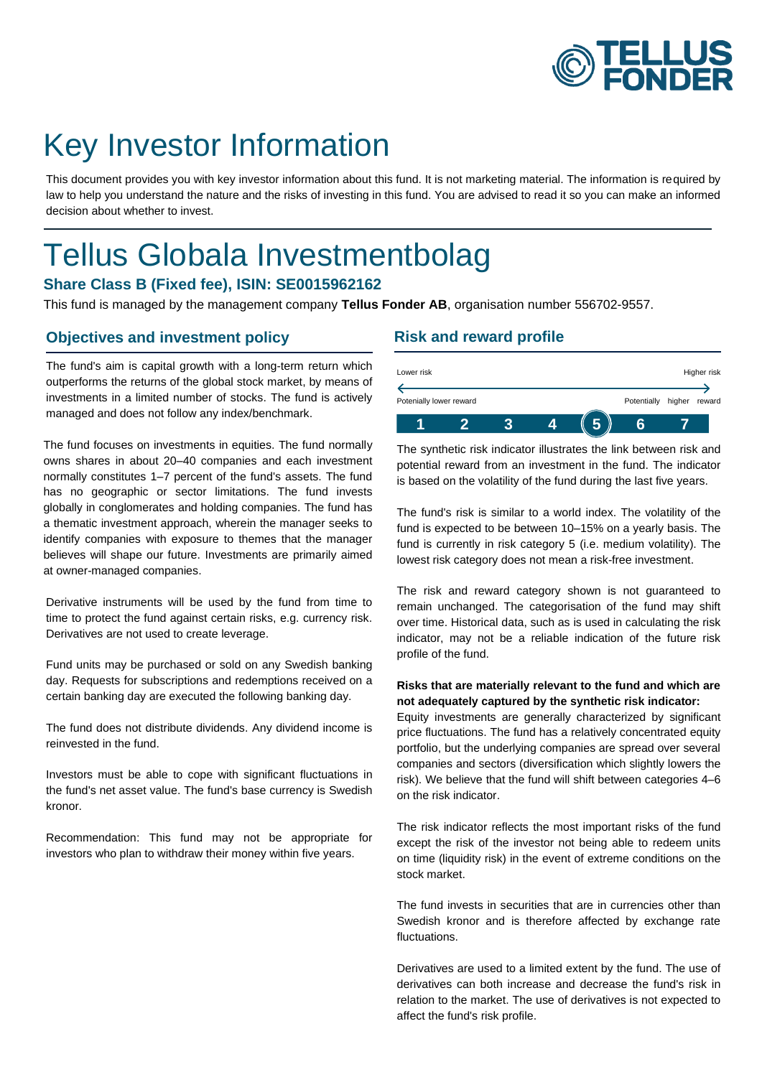

# Key Investor Information

This document provides you with key investor information about this fund. It is not marketing material. The information is required by law to help you understand the nature and the risks of investing in this fund. You are advised to read it so you can make an informed decision about whether to invest.

# Tellus Globala Investmentbolag

### **Share Class B (Fixed fee), ISIN: SE0015962162**

This fund is managed by the management company **Tellus Fonder AB**, organisation number 556702-9557.

### **Objectives and investment policy**

The fund's aim is capital growth with a long-term return which outperforms the returns of the global stock market, by means of investments in a limited number of stocks. The fund is actively managed and does not follow any index/benchmark.

The fund focuses on investments in equities. The fund normally owns shares in about 20–40 companies and each investment normally constitutes 1–7 percent of the fund's assets. The fund has no geographic or sector limitations. The fund invests globally in conglomerates and holding companies. The fund has a thematic investment approach, wherein the manager seeks to identify companies with exposure to themes that the manager believes will shape our future. Investments are primarily aimed at owner-managed companies.

Derivative instruments will be used by the fund from time to time to protect the fund against certain risks, e.g. currency risk. Derivatives are not used to create leverage.

Fund units may be purchased or sold on any Swedish banking day. Requests for subscriptions and redemptions received on a certain banking day are executed the following banking day.

The fund does not distribute dividends. Any dividend income is reinvested in the fund.

Investors must be able to cope with significant fluctuations in the fund's net asset value. The fund's base currency is Swedish kronor.

Recommendation: This fund may not be appropriate for investors who plan to withdraw their money within five years.

### **Risk and reward profile**

| Lower risk              |  |  |             |        | Higher risk |
|-------------------------|--|--|-------------|--------|-------------|
|                         |  |  |             |        |             |
| Potenially lower reward |  |  | Potentially | higher | reward      |
|                         |  |  |             |        |             |

The synthetic risk indicator illustrates the link between risk and potential reward from an investment in the fund. The indicator is based on the volatility of the fund during the last five years.

The fund's risk is similar to a world index. The volatility of the fund is expected to be between 10–15% on a yearly basis. The fund is currently in risk category 5 (i.e. medium volatility). The lowest risk category does not mean a risk-free investment.

The risk and reward category shown is not guaranteed to remain unchanged. The categorisation of the fund may shift over time. Historical data, such as is used in calculating the risk indicator, may not be a reliable indication of the future risk profile of the fund.

#### **Risks that are materially relevant to the fund and which are not adequately captured by the synthetic risk indicator:**

Equity investments are generally characterized by significant price fluctuations. The fund has a relatively concentrated equity portfolio, but the underlying companies are spread over several companies and sectors (diversification which slightly lowers the risk). We believe that the fund will shift between categories 4–6 on the risk indicator.

The risk indicator reflects the most important risks of the fund except the risk of the investor not being able to redeem units on time (liquidity risk) in the event of extreme conditions on the stock market.

The fund invests in securities that are in currencies other than Swedish kronor and is therefore affected by exchange rate fluctuations.

Derivatives are used to a limited extent by the fund. The use of derivatives can both increase and decrease the fund's risk in relation to the market. The use of derivatives is not expected to affect the fund's risk profile.